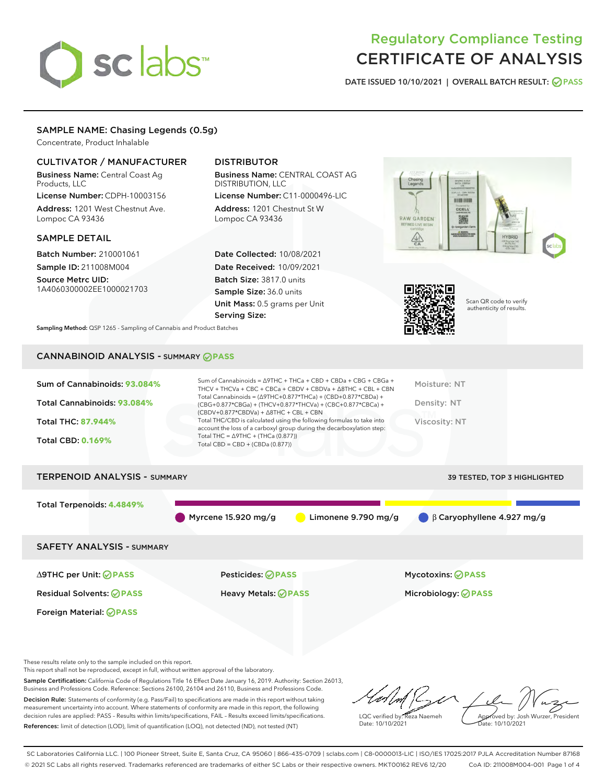# sclabs<sup>\*</sup>

## Regulatory Compliance Testing CERTIFICATE OF ANALYSIS

DATE ISSUED 10/10/2021 | OVERALL BATCH RESULT: @ PASS

#### SAMPLE NAME: Chasing Legends (0.5g)

Concentrate, Product Inhalable

#### CULTIVATOR / MANUFACTURER

Business Name: Central Coast Ag Products, LLC

License Number: CDPH-10003156 Address: 1201 West Chestnut Ave. Lompoc CA 93436

#### SAMPLE DETAIL

Batch Number: 210001061 Sample ID: 211008M004 Source Metrc UID:

1A4060300002EE1000021703

#### DISTRIBUTOR

Business Name: CENTRAL COAST AG DISTRIBUTION, LLC License Number: C11-0000496-LIC

Address: 1201 Chestnut St W Lompoc CA 93436

Date Collected: 10/08/2021 Date Received: 10/09/2021 Batch Size: 3817.0 units Sample Size: 36.0 units Unit Mass: 0.5 grams per Unit Serving Size:





Scan QR code to verify authenticity of results.

Sampling Method: QSP 1265 - Sampling of Cannabis and Product Batches

### CANNABINOID ANALYSIS - SUMMARY **PASS**

| Sum of Cannabinoids: 93.084%        | Sum of Cannabinoids = ∆9THC + THCa + CBD + CBDa + CBG + CBGa +<br>THCV + THCVa + CBC + CBCa + CBDV + CBDVa + A8THC + CBL + CBN                                                         | Moisture: NT                 |
|-------------------------------------|----------------------------------------------------------------------------------------------------------------------------------------------------------------------------------------|------------------------------|
| Total Cannabinoids: 93.084%         | Total Cannabinoids = $(\Delta 9THC + 0.877*THCa) + (CBD+0.877*CBDa) +$<br>(CBG+0.877*CBGa) + (THCV+0.877*THCVa) + (CBC+0.877*CBCa) +<br>$(CBDV+0.877*CBDVa) + \Delta 8THC + CBL + CBN$ | Density: NT                  |
| <b>Total THC: 87.944%</b>           | Total THC/CBD is calculated using the following formulas to take into<br>account the loss of a carboxyl group during the decarboxylation step:                                         | <b>Viscosity: NT</b>         |
| <b>Total CBD: 0.169%</b>            | Total THC = $\triangle$ 9THC + (THCa (0.877))<br>Total CBD = $CBD + (CBDa (0.877))$                                                                                                    |                              |
| <b>TERPENOID ANALYSIS - SUMMARY</b> |                                                                                                                                                                                        | 39 TESTED, TOP 3 HIGHLIGHTED |

Total Terpenoids: **4.4849%** Myrcene 15.920 mg/g Limonene 9.790 mg/g β Caryophyllene 4.927 mg/g SAFETY ANALYSIS - SUMMARY

Foreign Material: **PASS**

∆9THC per Unit: **PASS** Pesticides: **PASS** Mycotoxins: **PASS**

Residual Solvents: **PASS** Heavy Metals: **PASS** Microbiology: **PASS**

These results relate only to the sample included on this report.

This report shall not be reproduced, except in full, without written approval of the laboratory.

Sample Certification: California Code of Regulations Title 16 Effect Date January 16, 2019. Authority: Section 26013, Business and Professions Code. Reference: Sections 26100, 26104 and 26110, Business and Professions Code. Decision Rule: Statements of conformity (e.g. Pass/Fail) to specifications are made in this report without taking measurement uncertainty into account. Where statements of conformity are made in this report, the following

decision rules are applied: PASS – Results within limits/specifications, FAIL – Results exceed limits/specifications. References: limit of detection (LOD), limit of quantification (LOQ), not detected (ND), not tested (NT)

LQC verified by: Reza Naemeh Date: 10/10/2021 Approved by: Josh Wurzer, President Date: 10/10/2021

SC Laboratories California LLC. | 100 Pioneer Street, Suite E, Santa Cruz, CA 95060 | 866-435-0709 | sclabs.com | C8-0000013-LIC | ISO/IES 17025:2017 PJLA Accreditation Number 87168 © 2021 SC Labs all rights reserved. Trademarks referenced are trademarks of either SC Labs or their respective owners. MKT00162 REV6 12/20 CoA ID: 211008M004-001 Page 1 of 4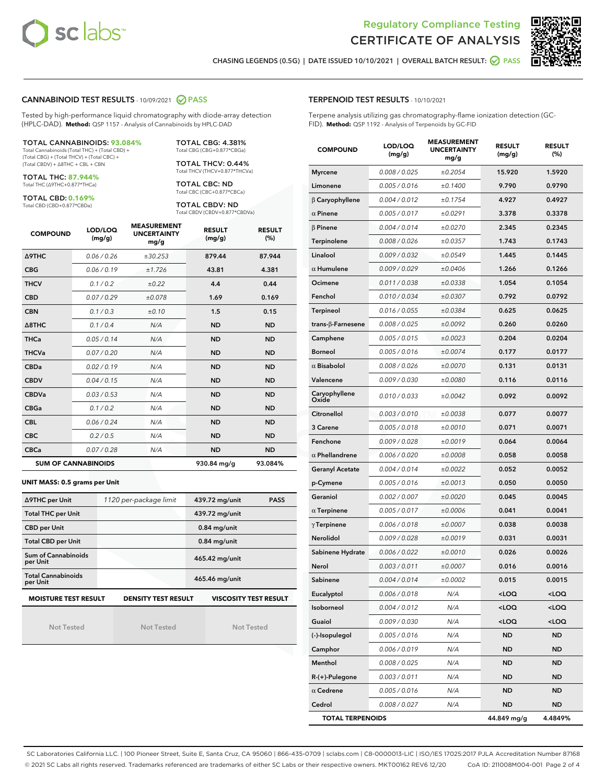



CHASING LEGENDS (0.5G) | DATE ISSUED 10/10/2021 | OVERALL BATCH RESULT: O PASS

#### CANNABINOID TEST RESULTS - 10/09/2021 2 PASS

Tested by high-performance liquid chromatography with diode-array detection (HPLC-DAD). **Method:** QSP 1157 - Analysis of Cannabinoids by HPLC-DAD

#### TOTAL CANNABINOIDS: **93.084%**

Total Cannabinoids (Total THC) + (Total CBD) + (Total CBG) + (Total THCV) + (Total CBC) + (Total CBDV) + ∆8THC + CBL + CBN

TOTAL THC: **87.944%** Total THC (∆9THC+0.877\*THCa)

TOTAL CBD: **0.169%** Total CBD (CBD+0.877\*CBDa)

TOTAL THCV: 0.44% Total THCV (THCV+0.877\*THCVa)

> TOTAL CBC: ND Total CBC (CBC+0.877\*CBCa)

TOTAL CBG: 4.381% Total CBG (CBG+0.877\*CBGa)

TOTAL CBDV: ND Total CBDV (CBDV+0.877\*CBDVa)

| <b>COMPOUND</b>  | LOD/LOQ<br>(mg/g)          | <b>MEASUREMENT</b><br><b>UNCERTAINTY</b><br>mg/g | <b>RESULT</b><br>(mg/g) | <b>RESULT</b><br>(%) |
|------------------|----------------------------|--------------------------------------------------|-------------------------|----------------------|
| <b>A9THC</b>     | 0.06/0.26                  | ±30.253                                          | 879.44                  | 87.944               |
| <b>CBG</b>       | 0.06/0.19                  | ±1.726                                           | 43.81                   | 4.381                |
| <b>THCV</b>      | 0.1/0.2                    | ±0.22                                            | 4.4                     | 0.44                 |
| <b>CBD</b>       | 0.07/0.29                  | ±0.078                                           | 1.69                    | 0.169                |
| <b>CBN</b>       | 0.1/0.3                    | ±0.10                                            | 1.5                     | 0.15                 |
| $\triangle$ 8THC | 0.1/0.4                    | N/A                                              | <b>ND</b>               | <b>ND</b>            |
| <b>THCa</b>      | 0.05/0.14                  | N/A                                              | <b>ND</b>               | <b>ND</b>            |
| <b>THCVa</b>     | 0.07/0.20                  | N/A                                              | <b>ND</b>               | <b>ND</b>            |
| <b>CBDa</b>      | 0.02/0.19                  | N/A                                              | <b>ND</b>               | <b>ND</b>            |
| <b>CBDV</b>      | 0.04/0.15                  | N/A                                              | <b>ND</b>               | <b>ND</b>            |
| <b>CBDVa</b>     | 0.03/0.53                  | N/A                                              | <b>ND</b>               | <b>ND</b>            |
| <b>CBGa</b>      | 0.1 / 0.2                  | N/A                                              | <b>ND</b>               | <b>ND</b>            |
| <b>CBL</b>       | 0.06 / 0.24                | N/A                                              | <b>ND</b>               | <b>ND</b>            |
| <b>CBC</b>       | 0.2 / 0.5                  | N/A                                              | <b>ND</b>               | <b>ND</b>            |
| <b>CBCa</b>      | 0.07/0.28                  | N/A                                              | <b>ND</b>               | <b>ND</b>            |
|                  | <b>SUM OF CANNABINOIDS</b> |                                                  | 930.84 mg/g             | 93.084%              |

#### **UNIT MASS: 0.5 grams per Unit**

| ∆9THC per Unit                        | 1120 per-package limit                                                                    | 439.72 mg/unit<br><b>PASS</b> |  |  |  |  |
|---------------------------------------|-------------------------------------------------------------------------------------------|-------------------------------|--|--|--|--|
| <b>Total THC per Unit</b>             |                                                                                           | 439.72 mg/unit                |  |  |  |  |
| <b>CBD per Unit</b>                   |                                                                                           | $0.84$ mg/unit                |  |  |  |  |
| <b>Total CBD per Unit</b>             |                                                                                           | $0.84$ mg/unit                |  |  |  |  |
| Sum of Cannabinoids<br>per Unit       |                                                                                           | 465.42 mg/unit                |  |  |  |  |
| <b>Total Cannabinoids</b><br>per Unit |                                                                                           | 465.46 mg/unit                |  |  |  |  |
|                                       | <b>MOISTURE TEST RESULT</b><br><b>VISCOSITY TEST RESULT</b><br><b>DENSITY TEST RESULT</b> |                               |  |  |  |  |

Not Tested

Not Tested

Not Tested

| <b>TERPENOID TEST RESULTS - 10/10/2021</b> |
|--------------------------------------------|
|--------------------------------------------|

Terpene analysis utilizing gas chromatography-flame ionization detection (GC-FID). **Method:** QSP 1192 - Analysis of Terpenoids by GC-FID

| <b>COMPOUND</b>         | LOD/LOQ<br>(mg/g) | <b>MEASUREMENT</b><br><b>UNCERTAINTY</b><br>mg/g | <b>RESULT</b><br>(mg/g)                         | <b>RESULT</b><br>(%) |
|-------------------------|-------------------|--------------------------------------------------|-------------------------------------------------|----------------------|
| <b>Myrcene</b>          | 0.008 / 0.025     | ±0.2054                                          | 15.920                                          | 1.5920               |
| Limonene                | 0.005 / 0.016     | ±0.1400                                          | 9.790                                           | 0.9790               |
| $\beta$ Caryophyllene   | 0.004 / 0.012     | ±0.1754                                          | 4.927                                           | 0.4927               |
| $\alpha$ Pinene         | 0.005 / 0.017     | ±0.0291                                          | 3.378                                           | 0.3378               |
| $\beta$ Pinene          | 0.004 / 0.014     | ±0.0270                                          | 2.345                                           | 0.2345               |
| Terpinolene             | 0.008 / 0.026     | ±0.0357                                          | 1.743                                           | 0.1743               |
| Linalool                | 0.009 / 0.032     | ±0.0549                                          | 1.445                                           | 0.1445               |
| $\alpha$ Humulene       | 0.009/0.029       | ±0.0406                                          | 1.266                                           | 0.1266               |
| Ocimene                 | 0.011 / 0.038     | ±0.0338                                          | 1.054                                           | 0.1054               |
| Fenchol                 | 0.010 / 0.034     | ±0.0307                                          | 0.792                                           | 0.0792               |
| Terpineol               | 0.016 / 0.055     | ±0.0384                                          | 0.625                                           | 0.0625               |
| trans-β-Farnesene       | 0.008 / 0.025     | ±0.0092                                          | 0.260                                           | 0.0260               |
| Camphene                | 0.005 / 0.015     | ±0.0023                                          | 0.204                                           | 0.0204               |
| <b>Borneol</b>          | 0.005 / 0.016     | ±0.0074                                          | 0.177                                           | 0.0177               |
| $\alpha$ Bisabolol      | 0.008 / 0.026     | ±0.0070                                          | 0.131                                           | 0.0131               |
| Valencene               | 0.009 / 0.030     | ±0.0080                                          | 0.116                                           | 0.0116               |
| Caryophyllene<br>Oxide  | 0.010 / 0.033     | ±0.0042                                          | 0.092                                           | 0.0092               |
| Citronellol             | 0.003 / 0.010     | ±0.0038                                          | 0.077                                           | 0.0077               |
| 3 Carene                | 0.005 / 0.018     | ±0.0010                                          | 0.071                                           | 0.0071               |
| Fenchone                | 0.009 / 0.028     | ±0.0019                                          | 0.064                                           | 0.0064               |
| $\alpha$ Phellandrene   | 0.006 / 0.020     | ±0.0008                                          | 0.058                                           | 0.0058               |
| <b>Geranyl Acetate</b>  | 0.004 / 0.014     | ±0.0022                                          | 0.052                                           | 0.0052               |
| p-Cymene                | 0.005 / 0.016     | ±0.0013                                          | 0.050                                           | 0.0050               |
| Geraniol                | 0.002 / 0.007     | ±0.0020                                          | 0.045                                           | 0.0045               |
| $\alpha$ Terpinene      | 0.005 / 0.017     | ±0.0006                                          | 0.041                                           | 0.0041               |
| $\gamma$ Terpinene      | 0.006 / 0.018     | ±0.0007                                          | 0.038                                           | 0.0038               |
| Nerolidol               | 0.009 / 0.028     | ±0.0019                                          | 0.031                                           | 0.0031               |
| Sabinene Hydrate        | 0.006 / 0.022     | ±0.0010                                          | 0.026                                           | 0.0026               |
| Nerol                   | 0.003 / 0.011     | ±0.0007                                          | 0.016                                           | 0.0016               |
| Sabinene                | 0.004 / 0.014     | ±0.0002                                          | 0.015                                           | 0.0015               |
| Eucalyptol              | 0.006 / 0.018     | N/A                                              | <loq< th=""><th><loq< th=""></loq<></th></loq<> | <loq< th=""></loq<>  |
| Isoborneol              | 0.004 / 0.012     | N/A                                              | <loq< th=""><th><loq< th=""></loq<></th></loq<> | <loq< th=""></loq<>  |
| Guaiol                  | 0.009 / 0.030     | N/A                                              | $<$ LOQ                                         | <loq< th=""></loq<>  |
| (-)-Isopulegol          | 0.005 / 0.016     | N/A                                              | <b>ND</b>                                       | ND                   |
| Camphor                 | 0.006 / 0.019     | N/A                                              | <b>ND</b>                                       | ND                   |
| Menthol                 | 0.008 / 0.025     | N/A                                              | <b>ND</b>                                       | <b>ND</b>            |
| R-(+)-Pulegone          | 0.003 / 0.011     | N/A                                              | <b>ND</b>                                       | <b>ND</b>            |
| $\alpha$ Cedrene        | 0.005 / 0.016     | N/A                                              | ND                                              | ND                   |
| Cedrol                  | 0.008 / 0.027     | N/A                                              | <b>ND</b>                                       | ND                   |
| <b>TOTAL TERPENOIDS</b> |                   | 44.849 mg/g                                      | 4.4849%                                         |                      |

SC Laboratories California LLC. | 100 Pioneer Street, Suite E, Santa Cruz, CA 95060 | 866-435-0709 | sclabs.com | C8-0000013-LIC | ISO/IES 17025:2017 PJLA Accreditation Number 87168 © 2021 SC Labs all rights reserved. Trademarks referenced are trademarks of either SC Labs or their respective owners. MKT00162 REV6 12/20 CoA ID: 211008M004-001 Page 2 of 4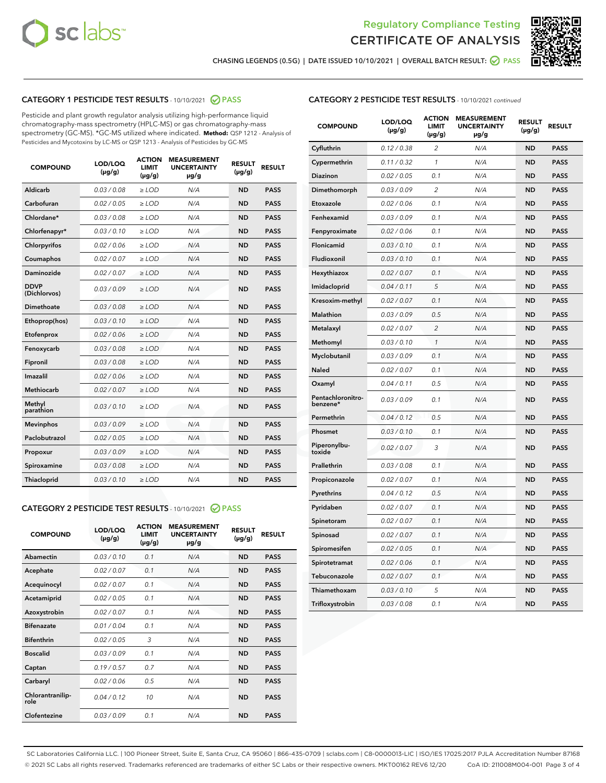



CHASING LEGENDS (0.5G) | DATE ISSUED 10/10/2021 | OVERALL BATCH RESULT: ☑ PASS

#### CATEGORY 1 PESTICIDE TEST RESULTS - 10/10/2021 @ PASS

Pesticide and plant growth regulator analysis utilizing high-performance liquid chromatography-mass spectrometry (HPLC-MS) or gas chromatography-mass spectrometry (GC-MS). \*GC-MS utilized where indicated. **Method:** QSP 1212 - Analysis of Pesticides and Mycotoxins by LC-MS or QSP 1213 - Analysis of Pesticides by GC-MS

| <b>COMPOUND</b>             | LOD/LOQ<br>$(\mu g/g)$ | <b>ACTION</b><br><b>LIMIT</b><br>$(\mu q/q)$ | <b>MEASUREMENT</b><br><b>UNCERTAINTY</b><br>$\mu$ g/g | <b>RESULT</b><br>$(\mu g/g)$ | <b>RESULT</b> |
|-----------------------------|------------------------|----------------------------------------------|-------------------------------------------------------|------------------------------|---------------|
| Aldicarb                    | 0.03 / 0.08            | $\ge$ LOD                                    | N/A                                                   | <b>ND</b>                    | <b>PASS</b>   |
| Carbofuran                  | 0.02 / 0.05            | $\ge$ LOD                                    | N/A                                                   | <b>ND</b>                    | <b>PASS</b>   |
| Chlordane*                  | 0.03 / 0.08            | $\ge$ LOD                                    | N/A                                                   | <b>ND</b>                    | <b>PASS</b>   |
| Chlorfenapyr*               | 0.03/0.10              | $\ge$ LOD                                    | N/A                                                   | <b>ND</b>                    | <b>PASS</b>   |
| Chlorpyrifos                | 0.02 / 0.06            | $\ge$ LOD                                    | N/A                                                   | <b>ND</b>                    | <b>PASS</b>   |
| Coumaphos                   | 0.02 / 0.07            | $\ge$ LOD                                    | N/A                                                   | <b>ND</b>                    | <b>PASS</b>   |
| Daminozide                  | 0.02 / 0.07            | $\ge$ LOD                                    | N/A                                                   | <b>ND</b>                    | <b>PASS</b>   |
| <b>DDVP</b><br>(Dichlorvos) | 0.03/0.09              | $>$ LOD                                      | N/A                                                   | <b>ND</b>                    | <b>PASS</b>   |
| Dimethoate                  | 0.03 / 0.08            | $\ge$ LOD                                    | N/A                                                   | <b>ND</b>                    | <b>PASS</b>   |
| Ethoprop(hos)               | 0.03/0.10              | $\ge$ LOD                                    | N/A                                                   | <b>ND</b>                    | <b>PASS</b>   |
| Etofenprox                  | 0.02/0.06              | $>$ LOD                                      | N/A                                                   | <b>ND</b>                    | <b>PASS</b>   |
| Fenoxycarb                  | 0.03 / 0.08            | $\ge$ LOD                                    | N/A                                                   | <b>ND</b>                    | <b>PASS</b>   |
| Fipronil                    | 0.03/0.08              | $>$ LOD                                      | N/A                                                   | <b>ND</b>                    | <b>PASS</b>   |
| Imazalil                    | 0.02 / 0.06            | $\ge$ LOD                                    | N/A                                                   | <b>ND</b>                    | <b>PASS</b>   |
| Methiocarb                  | 0.02 / 0.07            | $\ge$ LOD                                    | N/A                                                   | <b>ND</b>                    | <b>PASS</b>   |
| Methyl<br>parathion         | 0.03/0.10              | $>$ LOD                                      | N/A                                                   | <b>ND</b>                    | <b>PASS</b>   |
| <b>Mevinphos</b>            | 0.03/0.09              | $>$ LOD                                      | N/A                                                   | <b>ND</b>                    | <b>PASS</b>   |
| Paclobutrazol               | 0.02 / 0.05            | $\ge$ LOD                                    | N/A                                                   | <b>ND</b>                    | <b>PASS</b>   |
| Propoxur                    | 0.03 / 0.09            | $\ge$ LOD                                    | N/A                                                   | <b>ND</b>                    | <b>PASS</b>   |
| Spiroxamine                 | 0.03 / 0.08            | $\ge$ LOD                                    | N/A                                                   | <b>ND</b>                    | <b>PASS</b>   |
| Thiacloprid                 | 0.03/0.10              | $\ge$ LOD                                    | N/A                                                   | <b>ND</b>                    | <b>PASS</b>   |

#### CATEGORY 2 PESTICIDE TEST RESULTS - 10/10/2021 @ PASS

| <b>COMPOUND</b>          | LOD/LOO<br>$(\mu g/g)$ | <b>ACTION</b><br>LIMIT<br>$(\mu g/g)$ | <b>MEASUREMENT</b><br><b>UNCERTAINTY</b><br>µg/g | <b>RESULT</b><br>$(\mu g/g)$ | <b>RESULT</b> |  |
|--------------------------|------------------------|---------------------------------------|--------------------------------------------------|------------------------------|---------------|--|
| Abamectin                | 0.03/0.10              | 0.1                                   | N/A                                              | <b>ND</b>                    | <b>PASS</b>   |  |
| Acephate                 | 0.02/0.07              | 0.1                                   | N/A                                              | <b>ND</b>                    | <b>PASS</b>   |  |
| Acequinocyl              | 0.02/0.07              | 0.1                                   | N/A                                              | <b>ND</b>                    | <b>PASS</b>   |  |
| Acetamiprid              | 0.02 / 0.05            | 0.1                                   | N/A                                              | <b>ND</b>                    | <b>PASS</b>   |  |
| Azoxystrobin             | 0.02/0.07              | 0.1                                   | N/A                                              | <b>ND</b>                    | <b>PASS</b>   |  |
| <b>Bifenazate</b>        | 0.01 / 0.04            | 0.1                                   | N/A                                              | <b>ND</b>                    | <b>PASS</b>   |  |
| <b>Bifenthrin</b>        | 0.02 / 0.05            | 3                                     | N/A                                              | <b>ND</b>                    | <b>PASS</b>   |  |
| <b>Boscalid</b>          | 0.03/0.09              | 0.1                                   | N/A                                              | <b>ND</b>                    | <b>PASS</b>   |  |
| Captan                   | 0.19/0.57              | 0.7                                   | N/A                                              | <b>ND</b>                    | <b>PASS</b>   |  |
| Carbaryl                 | 0.02/0.06              | 0.5                                   | N/A                                              | <b>ND</b>                    | <b>PASS</b>   |  |
| Chlorantranilip-<br>role | 0.04/0.12              | 10                                    | N/A                                              | <b>ND</b>                    | <b>PASS</b>   |  |
| Clofentezine             | 0.03/0.09              | 0.1                                   | N/A                                              | <b>ND</b>                    | <b>PASS</b>   |  |

#### CATEGORY 2 PESTICIDE TEST RESULTS - 10/10/2021 continued

| <b>COMPOUND</b>               | LOD/LOQ<br>(µg/g) | <b>ACTION</b><br><b>LIMIT</b><br>$(\mu g/g)$ | <b>MEASUREMENT</b><br><b>UNCERTAINTY</b><br>µg/g | <b>RESULT</b><br>(µg/g) | <b>RESULT</b> |
|-------------------------------|-------------------|----------------------------------------------|--------------------------------------------------|-------------------------|---------------|
| Cyfluthrin                    | 0.12 / 0.38       | $\overline{c}$                               | N/A                                              | ND                      | <b>PASS</b>   |
| Cypermethrin                  | 0.11 / 0.32       | $\mathcal{I}$                                | N/A                                              | ND                      | <b>PASS</b>   |
| Diazinon                      | 0.02 / 0.05       | 0.1                                          | N/A                                              | <b>ND</b>               | <b>PASS</b>   |
| Dimethomorph                  | 0.03 / 0.09       | 2                                            | N/A                                              | ND                      | <b>PASS</b>   |
| Etoxazole                     | 0.02 / 0.06       | 0.1                                          | N/A                                              | ND                      | <b>PASS</b>   |
| Fenhexamid                    | 0.03 / 0.09       | 0.1                                          | N/A                                              | <b>ND</b>               | <b>PASS</b>   |
| Fenpyroximate                 | 0.02 / 0.06       | 0.1                                          | N/A                                              | ND                      | <b>PASS</b>   |
| Flonicamid                    | 0.03 / 0.10       | 0.1                                          | N/A                                              | ND                      | <b>PASS</b>   |
| Fludioxonil                   | 0.03 / 0.10       | 0.1                                          | N/A                                              | <b>ND</b>               | <b>PASS</b>   |
| Hexythiazox                   | 0.02 / 0.07       | 0.1                                          | N/A                                              | ND                      | <b>PASS</b>   |
| Imidacloprid                  | 0.04 / 0.11       | 5                                            | N/A                                              | ND                      | <b>PASS</b>   |
| Kresoxim-methyl               | 0.02 / 0.07       | 0.1                                          | N/A                                              | <b>ND</b>               | <b>PASS</b>   |
| Malathion                     | 0.03 / 0.09       | 0.5                                          | N/A                                              | ND                      | <b>PASS</b>   |
| Metalaxyl                     | 0.02 / 0.07       | $\overline{c}$                               | N/A                                              | ND                      | <b>PASS</b>   |
| Methomyl                      | 0.03 / 0.10       | $\mathbf{1}$                                 | N/A                                              | <b>ND</b>               | <b>PASS</b>   |
| Myclobutanil                  | 0.03 / 0.09       | 0.1                                          | N/A                                              | ND                      | <b>PASS</b>   |
| Naled                         | 0.02 / 0.07       | 0.1                                          | N/A                                              | ND                      | <b>PASS</b>   |
| Oxamyl                        | 0.04 / 0.11       | 0.5                                          | N/A                                              | ND                      | <b>PASS</b>   |
| Pentachloronitro-<br>benzene* | 0.03 / 0.09       | 0.1                                          | N/A                                              | ND                      | <b>PASS</b>   |
| Permethrin                    | 0.04 / 0.12       | 0.5                                          | N/A                                              | <b>ND</b>               | <b>PASS</b>   |
| Phosmet                       | 0.03 / 0.10       | 0.1                                          | N/A                                              | ND                      | <b>PASS</b>   |
| Piperonylbu-<br>toxide        | 0.02 / 0.07       | 3                                            | N/A                                              | ND                      | <b>PASS</b>   |
| Prallethrin                   | 0.03 / 0.08       | 0.1                                          | N/A                                              | ND                      | <b>PASS</b>   |
| Propiconazole                 | 0.02 / 0.07       | 0.1                                          | N/A                                              | ND                      | <b>PASS</b>   |
| Pyrethrins                    | 0.04 / 0.12       | 0.5                                          | N/A                                              | <b>ND</b>               | <b>PASS</b>   |
| Pyridaben                     | 0.02 / 0.07       | 0.1                                          | N/A                                              | ND                      | <b>PASS</b>   |
| Spinetoram                    | 0.02 / 0.07       | 0.1                                          | N/A                                              | ND                      | PASS          |
| Spinosad                      | 0.02 / 0.07       | 0.1                                          | N/A                                              | <b>ND</b>               | <b>PASS</b>   |
| Spiromesifen                  | 0.02 / 0.05       | 0.1                                          | N/A                                              | ND                      | <b>PASS</b>   |
| Spirotetramat                 | 0.02 / 0.06       | 0.1                                          | N/A                                              | ND                      | <b>PASS</b>   |
| Tebuconazole                  | 0.02 / 0.07       | 0.1                                          | N/A                                              | ND                      | <b>PASS</b>   |
| Thiamethoxam                  | 0.03 / 0.10       | 5                                            | N/A                                              | ND                      | <b>PASS</b>   |
| Trifloxystrobin               | 0.03 / 0.08       | 0.1                                          | N/A                                              | <b>ND</b>               | <b>PASS</b>   |

SC Laboratories California LLC. | 100 Pioneer Street, Suite E, Santa Cruz, CA 95060 | 866-435-0709 | sclabs.com | C8-0000013-LIC | ISO/IES 17025:2017 PJLA Accreditation Number 87168 © 2021 SC Labs all rights reserved. Trademarks referenced are trademarks of either SC Labs or their respective owners. MKT00162 REV6 12/20 CoA ID: 211008M004-001 Page 3 of 4